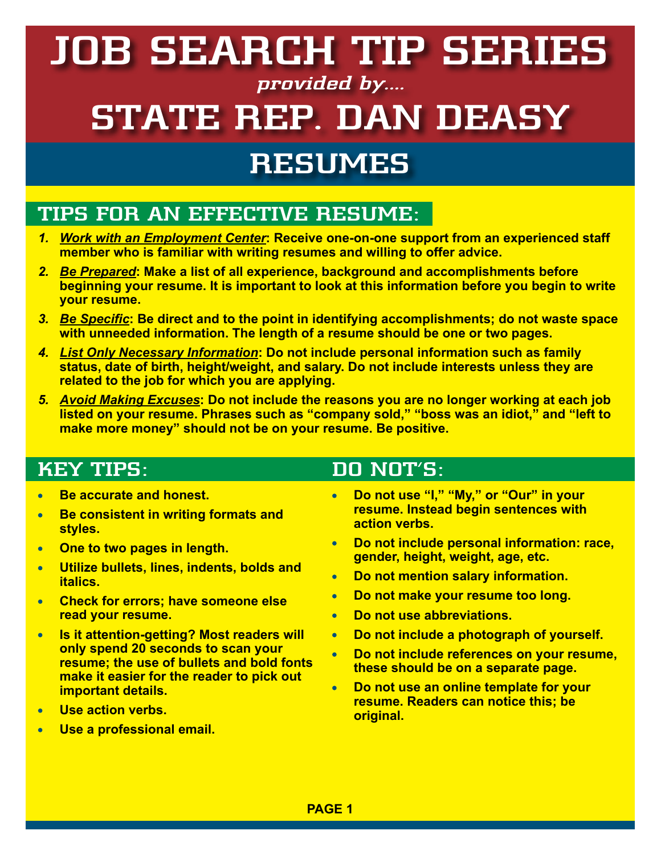# **RESUMES JOB SEARCH TIP SERIES provided by.... STATE REP. DAN DEASY**

### **TIPS FOR AN EFFECTIVE RESUME:**

- *1. Work with an Employment Center***: Receive one-on-one support from an experienced staff member who is familiar with writing resumes and willing to offer advice.**
- *2. Be Prepared***: Make a list of all experience, background and accomplishments before beginning your resume. It is important to look at this information before you begin to write your resume.**
- *3. Be Specific***: Be direct and to the point in identifying accomplishments; do not waste space with unneeded information. The length of a resume should be one or two pages.**
- *4. List Only Necessary Information***: Do not include personal information such as family status, date of birth, height/weight, and salary. Do not include interests unless they are related to the job for which you are applying.**
- *5. Avoid Making Excuses***: Do not include the reasons you are no longer working at each job listed on your resume. Phrases such as "company sold," "boss was an idiot," and "left to make more money" should not be on your resume. Be positive.**

#### **KEY TIPS:**

- **Be accurate and honest.**   $\bullet$
- **Be consistent in writing formats and**   $\bullet$ **styles.**
- **One to two pages in length.**  $\bullet$
- **Utilize bullets, lines, indents, bolds and**   $\bullet$ **italics.**
- **Check for errors; have someone else**   $\bullet$ **read your resume.**
- **Is it attention-getting? Most readers will**   $\bullet$ **only spend 20 seconds to scan your resume; the use of bullets and bold fonts make it easier for the reader to pick out important details.**
- **Use action verbs.**   $\bullet$
- **Use a professional email.**   $\bullet$

#### **DO NOT'S:**

- **Do not use "I," "My," or "Our" in your**   $\bullet$ **resume. Instead begin sentences with action verbs.**
- **Do not include personal information: race,**   $\bullet$ **gender, height, weight, age, etc.**
- $\bullet$ **Do not mention salary information.**
- **Do not make your resume too long.**  $\bullet$
- **Do not use abbreviations.**  $\blacksquare$
- $\bullet$ **Do not include a photograph of yourself.**
- **Do not include references on your resume,**   $\bullet$ **these should be on a separate page.**
- **Do not use an online template for your resume. Readers can notice this; be original.**